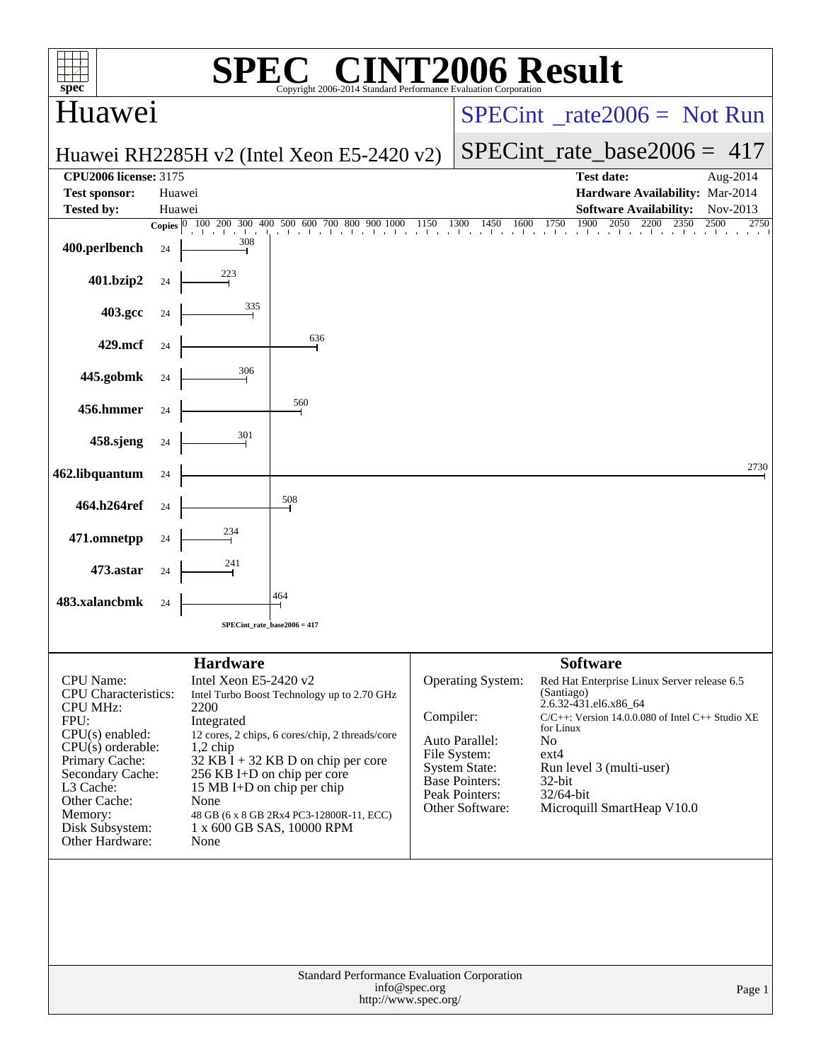| spec <sup>®</sup>                                                                                                                                                                                                                          |                        |                                                                                                                            | $\bigcap$ $\mathbb{R}$ $\bigcap$<br>Copyright 2006-2014 Standard Performance Evaluation Corporation                                                                                                                                            |                                         |                                                                                                                                           | <b>INT2006 Result</b>                                                                                                                                                                                                                                                                     |  |  |  |  |
|--------------------------------------------------------------------------------------------------------------------------------------------------------------------------------------------------------------------------------------------|------------------------|----------------------------------------------------------------------------------------------------------------------------|------------------------------------------------------------------------------------------------------------------------------------------------------------------------------------------------------------------------------------------------|-----------------------------------------|-------------------------------------------------------------------------------------------------------------------------------------------|-------------------------------------------------------------------------------------------------------------------------------------------------------------------------------------------------------------------------------------------------------------------------------------------|--|--|--|--|
| Huawei                                                                                                                                                                                                                                     |                        |                                                                                                                            |                                                                                                                                                                                                                                                | $SPECint^{\circ}$ rate $2006 =$ Not Run |                                                                                                                                           |                                                                                                                                                                                                                                                                                           |  |  |  |  |
|                                                                                                                                                                                                                                            |                        |                                                                                                                            | Huawei RH2285H v2 (Intel Xeon E5-2420 v2)                                                                                                                                                                                                      |                                         | $SPECint_rate\_base2006 = 417$                                                                                                            |                                                                                                                                                                                                                                                                                           |  |  |  |  |
| <b>CPU2006 license: 3175</b>                                                                                                                                                                                                               |                        |                                                                                                                            |                                                                                                                                                                                                                                                |                                         |                                                                                                                                           | <b>Test date:</b><br>Aug-2014                                                                                                                                                                                                                                                             |  |  |  |  |
| <b>Test sponsor:</b>                                                                                                                                                                                                                       | Huawei                 |                                                                                                                            |                                                                                                                                                                                                                                                |                                         |                                                                                                                                           | Hardware Availability: Mar-2014                                                                                                                                                                                                                                                           |  |  |  |  |
| <b>Tested by:</b>                                                                                                                                                                                                                          | Huawei<br>Copies $ 0 $ | 100                                                                                                                        | 200 300 400 500 600 700 800 900 1000                                                                                                                                                                                                           | 1150                                    | 1300<br>1600<br>1450                                                                                                                      | <b>Software Availability:</b><br>Nov-2013<br>1900<br>2050<br>1750<br>2200<br>2350<br>2500<br>2750                                                                                                                                                                                         |  |  |  |  |
| 400.perlbench                                                                                                                                                                                                                              | 24                     | 308                                                                                                                        | a de a de a de a de a libra los libra libra lib                                                                                                                                                                                                | and the state of the state of the       | and a factor                                                                                                                              | the change of the country of the<br>$1 - 1 = 1$                                                                                                                                                                                                                                           |  |  |  |  |
| 401.bzip2                                                                                                                                                                                                                                  | 24                     | $\frac{223}{1}$                                                                                                            |                                                                                                                                                                                                                                                |                                         |                                                                                                                                           |                                                                                                                                                                                                                                                                                           |  |  |  |  |
| 403.gcc                                                                                                                                                                                                                                    | 24                     | 335                                                                                                                        |                                                                                                                                                                                                                                                |                                         |                                                                                                                                           |                                                                                                                                                                                                                                                                                           |  |  |  |  |
| 429.mcf                                                                                                                                                                                                                                    | 24                     |                                                                                                                            | 636                                                                                                                                                                                                                                            |                                         |                                                                                                                                           |                                                                                                                                                                                                                                                                                           |  |  |  |  |
| 445.gobmk                                                                                                                                                                                                                                  | 24                     | 306                                                                                                                        |                                                                                                                                                                                                                                                |                                         |                                                                                                                                           |                                                                                                                                                                                                                                                                                           |  |  |  |  |
| 456.hmmer                                                                                                                                                                                                                                  | 24                     |                                                                                                                            | 560                                                                                                                                                                                                                                            |                                         |                                                                                                                                           |                                                                                                                                                                                                                                                                                           |  |  |  |  |
| 458.sjeng                                                                                                                                                                                                                                  | 24                     | 301                                                                                                                        |                                                                                                                                                                                                                                                |                                         |                                                                                                                                           |                                                                                                                                                                                                                                                                                           |  |  |  |  |
| 462.libquantum                                                                                                                                                                                                                             | 24                     |                                                                                                                            |                                                                                                                                                                                                                                                |                                         |                                                                                                                                           | 2730                                                                                                                                                                                                                                                                                      |  |  |  |  |
| 464.h264ref                                                                                                                                                                                                                                | 24                     |                                                                                                                            | 508                                                                                                                                                                                                                                            |                                         |                                                                                                                                           |                                                                                                                                                                                                                                                                                           |  |  |  |  |
| 471.omnetpp                                                                                                                                                                                                                                | 24                     | 234                                                                                                                        |                                                                                                                                                                                                                                                |                                         |                                                                                                                                           |                                                                                                                                                                                                                                                                                           |  |  |  |  |
| 473.astar                                                                                                                                                                                                                                  | 24                     | 241                                                                                                                        |                                                                                                                                                                                                                                                |                                         |                                                                                                                                           |                                                                                                                                                                                                                                                                                           |  |  |  |  |
| 483.xalancbmk                                                                                                                                                                                                                              | 24                     |                                                                                                                            | 464                                                                                                                                                                                                                                            |                                         |                                                                                                                                           |                                                                                                                                                                                                                                                                                           |  |  |  |  |
|                                                                                                                                                                                                                                            |                        |                                                                                                                            | SPECint_rate_base2006 = 417                                                                                                                                                                                                                    |                                         |                                                                                                                                           |                                                                                                                                                                                                                                                                                           |  |  |  |  |
|                                                                                                                                                                                                                                            |                        |                                                                                                                            |                                                                                                                                                                                                                                                |                                         |                                                                                                                                           |                                                                                                                                                                                                                                                                                           |  |  |  |  |
| <b>CPU</b> Name:<br><b>CPU</b> Characteristics:<br><b>CPU MHz:</b><br>FPU:<br>$CPU(s)$ enabled:<br>$CPU(s)$ orderable:<br>Primary Cache:<br>Secondary Cache:<br>L3 Cache:<br>Other Cache:<br>Memory:<br>Disk Subsystem:<br>Other Hardware: |                        | <b>Hardware</b><br>Intel Xeon E5-2420 v2<br>2200<br>Integrated<br>$1,2$ chip<br>15 MB I+D on chip per chip<br>None<br>None | Intel Turbo Boost Technology up to 2.70 GHz<br>12 cores, 2 chips, 6 cores/chip, 2 threads/core<br>$32$ KB I + 32 KB D on chip per core<br>256 KB I+D on chip per core<br>48 GB (6 x 8 GB 2Rx4 PC3-12800R-11, ECC)<br>1 x 600 GB SAS, 10000 RPM | Compiler:                               | Operating System:<br>Auto Parallel:<br>File System:<br><b>System State:</b><br><b>Base Pointers:</b><br>Peak Pointers:<br>Other Software: | <b>Software</b><br>Red Hat Enterprise Linux Server release 6.5<br>(Santiago)<br>2.6.32-431.el6.x86_64<br>$C/C++$ : Version 14.0.0.080 of Intel $C++$ Studio XE<br>for Linux<br>N <sub>o</sub><br>ext4<br>Run level 3 (multi-user)<br>$32$ -bit<br>32/64-bit<br>Microquill SmartHeap V10.0 |  |  |  |  |
|                                                                                                                                                                                                                                            |                        |                                                                                                                            | Standard Performance Evaluation Corporation<br>http://www.spec.org/                                                                                                                                                                            | info@spec.org                           |                                                                                                                                           | Page 1                                                                                                                                                                                                                                                                                    |  |  |  |  |
|                                                                                                                                                                                                                                            |                        |                                                                                                                            |                                                                                                                                                                                                                                                |                                         |                                                                                                                                           |                                                                                                                                                                                                                                                                                           |  |  |  |  |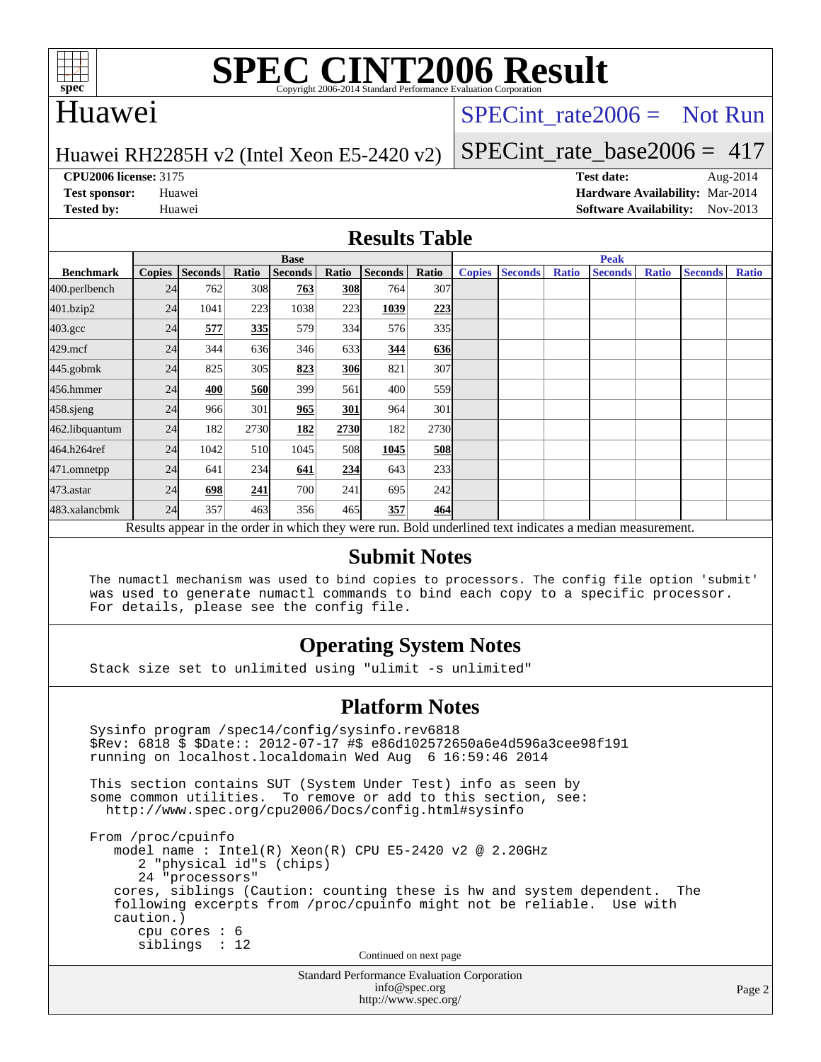

# **[SPEC CINT2006 Result](http://www.spec.org/auto/cpu2006/Docs/result-fields.html#SPECCINT2006Result)**

## Huawei

### SPECint rate  $2006 =$  Not Run

#### Huawei RH2285H v2 (Intel Xeon E5-2420 v2)

[SPECint\\_rate\\_base2006 =](http://www.spec.org/auto/cpu2006/Docs/result-fields.html#SPECintratebase2006) 417

**[CPU2006 license:](http://www.spec.org/auto/cpu2006/Docs/result-fields.html#CPU2006license)** 3175 **[Test date:](http://www.spec.org/auto/cpu2006/Docs/result-fields.html#Testdate)** Aug-2014

**[Test sponsor:](http://www.spec.org/auto/cpu2006/Docs/result-fields.html#Testsponsor)** Huawei **[Hardware Availability:](http://www.spec.org/auto/cpu2006/Docs/result-fields.html#HardwareAvailability)** Mar-2014 **[Tested by:](http://www.spec.org/auto/cpu2006/Docs/result-fields.html#Testedby)** Huawei **[Software Availability:](http://www.spec.org/auto/cpu2006/Docs/result-fields.html#SoftwareAvailability)** Nov-2013

#### **[Results Table](http://www.spec.org/auto/cpu2006/Docs/result-fields.html#ResultsTable)**

|                                                                                                          | <b>Base</b>   |                |       |                |            |                |                  | <b>Peak</b>   |                |              |                |              |                |              |
|----------------------------------------------------------------------------------------------------------|---------------|----------------|-------|----------------|------------|----------------|------------------|---------------|----------------|--------------|----------------|--------------|----------------|--------------|
| <b>Benchmark</b>                                                                                         | <b>Copies</b> | <b>Seconds</b> | Ratio | <b>Seconds</b> | Ratio      | <b>Seconds</b> | Ratio            | <b>Copies</b> | <b>Seconds</b> | <b>Ratio</b> | <b>Seconds</b> | <b>Ratio</b> | <b>Seconds</b> | <b>Ratio</b> |
| 400.perlbench                                                                                            | 24            | 762            | 308   | 763            | <b>308</b> | 764            | 307 <sub>1</sub> |               |                |              |                |              |                |              |
| 401.bzip2                                                                                                | 24            | 1041           | 223   | 1038           | 223        | 1039           | 223              |               |                |              |                |              |                |              |
| $403.\mathrm{gcc}$                                                                                       | 24            | 577            | 335   | 579            | 334        | 576            | 335 <sup>I</sup> |               |                |              |                |              |                |              |
| $429$ .mcf                                                                                               | 24            | 344            | 636   | 346            | 633        | 344            | 636              |               |                |              |                |              |                |              |
| $445$ .gobm $k$                                                                                          | 24            | 825            | 305   | 823            | 306        | 821            | 307              |               |                |              |                |              |                |              |
| 456.hmmer                                                                                                | 24            | 400            | 560   | 399            | 561        | 400            | 559              |               |                |              |                |              |                |              |
| 458.sjeng                                                                                                | 24            | 966            | 301   | 965            | 301        | 964            | 301              |               |                |              |                |              |                |              |
| 462.libquantum                                                                                           | 24            | 182            | 2730  | 182            | 2730       | 182            | 2730             |               |                |              |                |              |                |              |
| 464.h264ref                                                                                              | 24            | 1042           | 510   | 1045           | 508        | 1045           | <u>508</u>       |               |                |              |                |              |                |              |
| 471.omnetpp                                                                                              | 24            | 641            | 234   | 641            | <u>234</u> | 643            | 233              |               |                |              |                |              |                |              |
| 473.astar                                                                                                | 24            | 698            | 241   | 700            | 241        | 695            | 242              |               |                |              |                |              |                |              |
| 483.xalancbmk                                                                                            | 24            | 357            | 463   | 356            | 465        | 357            | 464              |               |                |              |                |              |                |              |
| Results appear in the order in which they were run. Bold underlined text indicates a median measurement. |               |                |       |                |            |                |                  |               |                |              |                |              |                |              |

#### **[Submit Notes](http://www.spec.org/auto/cpu2006/Docs/result-fields.html#SubmitNotes)**

 The numactl mechanism was used to bind copies to processors. The config file option 'submit' was used to generate numactl commands to bind each copy to a specific processor. For details, please see the config file.

### **[Operating System Notes](http://www.spec.org/auto/cpu2006/Docs/result-fields.html#OperatingSystemNotes)**

Stack size set to unlimited using "ulimit -s unlimited"

#### **[Platform Notes](http://www.spec.org/auto/cpu2006/Docs/result-fields.html#PlatformNotes)**

```
Standard Performance Evaluation Corporation
 Sysinfo program /spec14/config/sysinfo.rev6818
 $Rev: 6818 $ $Date:: 2012-07-17 #$ e86d102572650a6e4d596a3cee98f191
 running on localhost.localdomain Wed Aug 6 16:59:46 2014
 This section contains SUT (System Under Test) info as seen by
some common utilities. To remove or add to this section, see:
  http://www.spec.org/cpu2006/Docs/config.html#sysinfo
 From /proc/cpuinfo
    model name : Intel(R) Xeon(R) CPU E5-2420 v2 @ 2.20GHz
       2 "physical id"s (chips)
       24 "processors"
    cores, siblings (Caution: counting these is hw and system dependent. The
    following excerpts from /proc/cpuinfo might not be reliable. Use with
    caution.)
       cpu cores : 6
       siblings : 12
                                   Continued on next page
```
[info@spec.org](mailto:info@spec.org) <http://www.spec.org/>

Page 2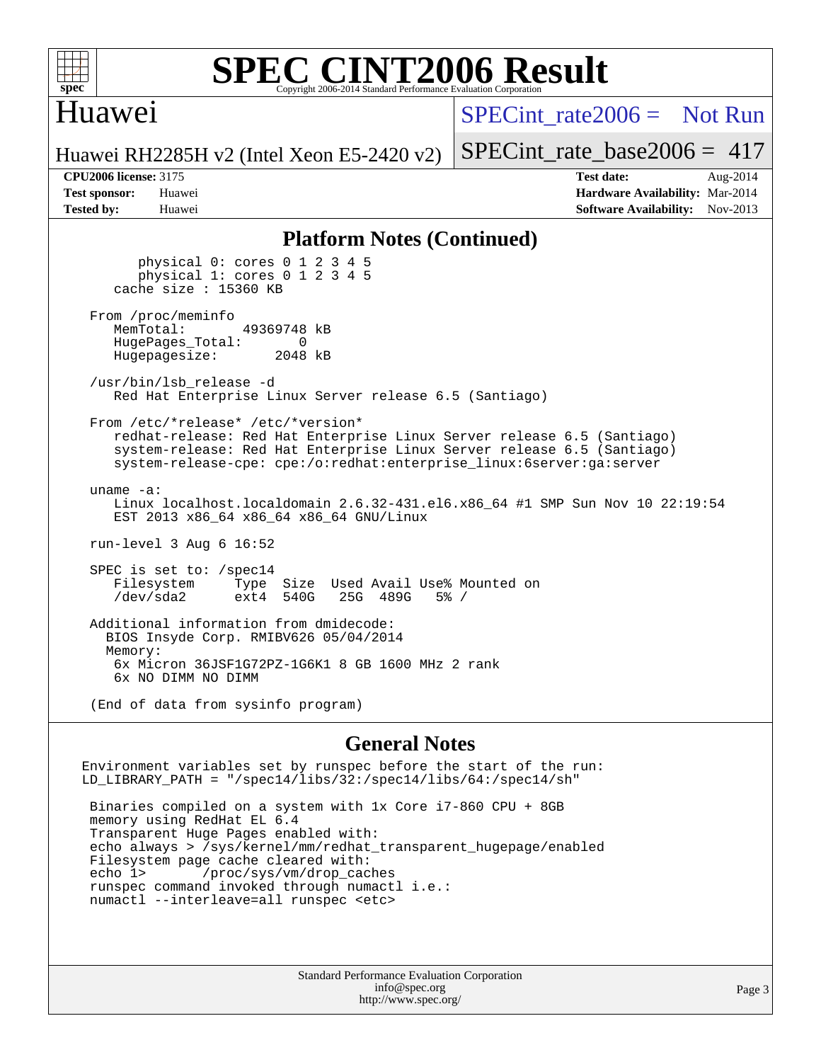

#### **[SPEC CINT2006 Result](http://www.spec.org/auto/cpu2006/Docs/result-fields.html#SPECCINT2006Result)** Copyright 2006-2014 Standard Performance Evaluation C

## Huawei

[SPECint\\_rate2006 =](http://www.spec.org/auto/cpu2006/Docs/result-fields.html#SPECintrate2006) Not Run

Huawei RH2285H v2 (Intel Xeon E5-2420 v2)

[SPECint\\_rate\\_base2006 =](http://www.spec.org/auto/cpu2006/Docs/result-fields.html#SPECintratebase2006)  $417$ 

**[CPU2006 license:](http://www.spec.org/auto/cpu2006/Docs/result-fields.html#CPU2006license)** 3175 **[Test date:](http://www.spec.org/auto/cpu2006/Docs/result-fields.html#Testdate)** Aug-2014 **[Test sponsor:](http://www.spec.org/auto/cpu2006/Docs/result-fields.html#Testsponsor)** Huawei **[Hardware Availability:](http://www.spec.org/auto/cpu2006/Docs/result-fields.html#HardwareAvailability)** Mar-2014 **[Tested by:](http://www.spec.org/auto/cpu2006/Docs/result-fields.html#Testedby)** Huawei **[Software Availability:](http://www.spec.org/auto/cpu2006/Docs/result-fields.html#SoftwareAvailability)** Nov-2013

#### **[Platform Notes \(Continued\)](http://www.spec.org/auto/cpu2006/Docs/result-fields.html#PlatformNotes)**

 physical 0: cores 0 1 2 3 4 5 physical 1: cores 0 1 2 3 4 5 cache size : 15360 KB From /proc/meminfo<br>MemTotal: 49369748 kB HugePages\_Total: 0<br>Hugepagesize: 2048 kB Hugepagesize: /usr/bin/lsb\_release -d Red Hat Enterprise Linux Server release 6.5 (Santiago) From /etc/\*release\* /etc/\*version\* redhat-release: Red Hat Enterprise Linux Server release 6.5 (Santiago) system-release: Red Hat Enterprise Linux Server release 6.5 (Santiago) system-release-cpe: cpe:/o:redhat:enterprise\_linux:6server:ga:server uname -a: Linux localhost.localdomain 2.6.32-431.el6.x86\_64 #1 SMP Sun Nov 10 22:19:54 EST 2013 x86\_64 x86\_64 x86\_64 GNU/Linux run-level 3 Aug 6 16:52 SPEC is set to: /spec14 Filesystem Type Size Used Avail Use% Mounted on<br>
/dev/sda2 ext4 540G 25G 489G 5% /  $ext4 540G$  Additional information from dmidecode: BIOS Insyde Corp. RMIBV626 05/04/2014 Memory: 6x Micron 36JSF1G72PZ-1G6K1 8 GB 1600 MHz 2 rank 6x NO DIMM NO DIMM (End of data from sysinfo program)

#### **[General Notes](http://www.spec.org/auto/cpu2006/Docs/result-fields.html#GeneralNotes)**

Environment variables set by runspec before the start of the run: LD\_LIBRARY\_PATH = "/spec14/libs/32:/spec14/libs/64:/spec14/sh"

 Binaries compiled on a system with 1x Core i7-860 CPU + 8GB memory using RedHat EL 6.4 Transparent Huge Pages enabled with: echo always > /sys/kernel/mm/redhat\_transparent\_hugepage/enabled Filesystem page cache cleared with: echo 1> /proc/sys/vm/drop\_caches runspec command invoked through numactl i.e.: numactl --interleave=all runspec <etc>

> Standard Performance Evaluation Corporation [info@spec.org](mailto:info@spec.org) <http://www.spec.org/>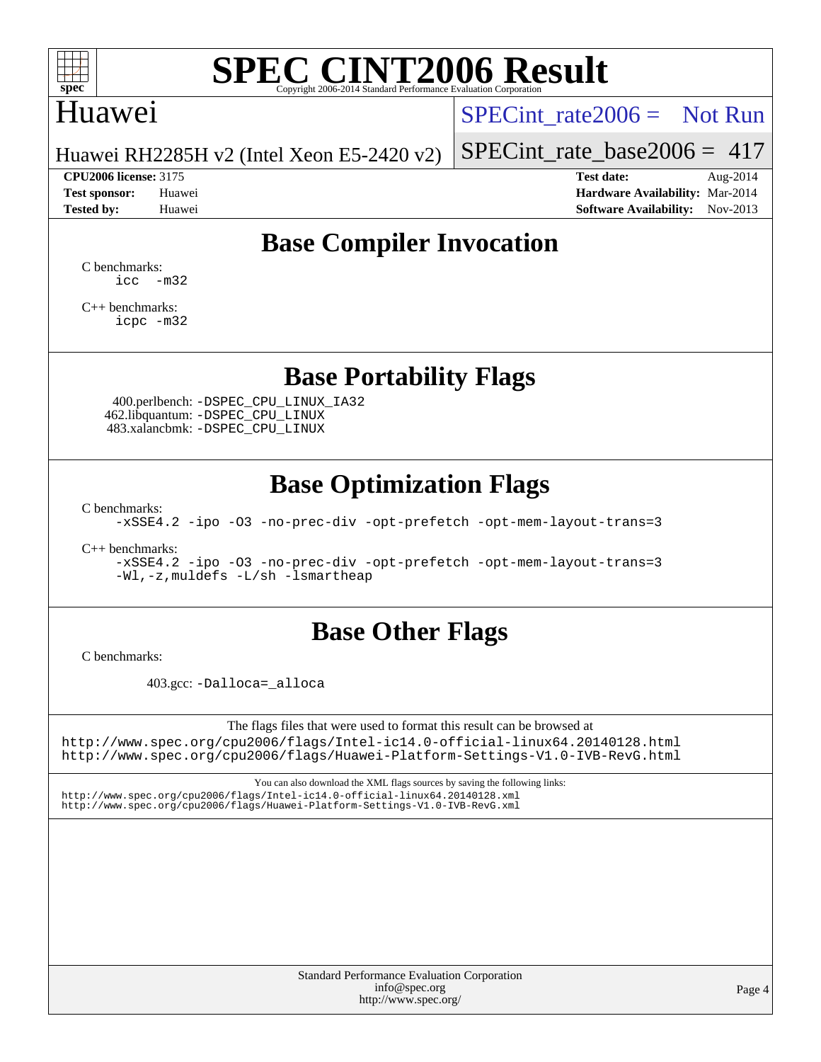

# **[SPEC CINT2006 Result](http://www.spec.org/auto/cpu2006/Docs/result-fields.html#SPECCINT2006Result)**

## Huawei

SPECint rate  $2006 =$  Not Run

Huawei RH2285H v2 (Intel Xeon E5-2420 v2)

**[CPU2006 license:](http://www.spec.org/auto/cpu2006/Docs/result-fields.html#CPU2006license)** 3175 **[Test date:](http://www.spec.org/auto/cpu2006/Docs/result-fields.html#Testdate)** Aug-2014

[SPECint\\_rate\\_base2006 =](http://www.spec.org/auto/cpu2006/Docs/result-fields.html#SPECintratebase2006) 417

**[Test sponsor:](http://www.spec.org/auto/cpu2006/Docs/result-fields.html#Testsponsor)** Huawei **[Hardware Availability:](http://www.spec.org/auto/cpu2006/Docs/result-fields.html#HardwareAvailability)** Mar-2014 **[Tested by:](http://www.spec.org/auto/cpu2006/Docs/result-fields.html#Testedby)** Huawei **[Software Availability:](http://www.spec.org/auto/cpu2006/Docs/result-fields.html#SoftwareAvailability)** Nov-2013

## **[Base Compiler Invocation](http://www.spec.org/auto/cpu2006/Docs/result-fields.html#BaseCompilerInvocation)**

[C benchmarks](http://www.spec.org/auto/cpu2006/Docs/result-fields.html#Cbenchmarks): [icc -m32](http://www.spec.org/cpu2006/results/res2014q3/cpu2006-20140807-30828.flags.html#user_CCbase_intel_icc_5ff4a39e364c98233615fdd38438c6f2)

[C++ benchmarks:](http://www.spec.org/auto/cpu2006/Docs/result-fields.html#CXXbenchmarks) [icpc -m32](http://www.spec.org/cpu2006/results/res2014q3/cpu2006-20140807-30828.flags.html#user_CXXbase_intel_icpc_4e5a5ef1a53fd332b3c49e69c3330699)

**[Base Portability Flags](http://www.spec.org/auto/cpu2006/Docs/result-fields.html#BasePortabilityFlags)**

 400.perlbench: [-DSPEC\\_CPU\\_LINUX\\_IA32](http://www.spec.org/cpu2006/results/res2014q3/cpu2006-20140807-30828.flags.html#b400.perlbench_baseCPORTABILITY_DSPEC_CPU_LINUX_IA32) 462.libquantum: [-DSPEC\\_CPU\\_LINUX](http://www.spec.org/cpu2006/results/res2014q3/cpu2006-20140807-30828.flags.html#b462.libquantum_baseCPORTABILITY_DSPEC_CPU_LINUX) 483.xalancbmk: [-DSPEC\\_CPU\\_LINUX](http://www.spec.org/cpu2006/results/res2014q3/cpu2006-20140807-30828.flags.html#b483.xalancbmk_baseCXXPORTABILITY_DSPEC_CPU_LINUX)

## **[Base Optimization Flags](http://www.spec.org/auto/cpu2006/Docs/result-fields.html#BaseOptimizationFlags)**

[C benchmarks](http://www.spec.org/auto/cpu2006/Docs/result-fields.html#Cbenchmarks):

[-xSSE4.2](http://www.spec.org/cpu2006/results/res2014q3/cpu2006-20140807-30828.flags.html#user_CCbase_f-xSSE42_f91528193cf0b216347adb8b939d4107) [-ipo](http://www.spec.org/cpu2006/results/res2014q3/cpu2006-20140807-30828.flags.html#user_CCbase_f-ipo) [-O3](http://www.spec.org/cpu2006/results/res2014q3/cpu2006-20140807-30828.flags.html#user_CCbase_f-O3) [-no-prec-div](http://www.spec.org/cpu2006/results/res2014q3/cpu2006-20140807-30828.flags.html#user_CCbase_f-no-prec-div) [-opt-prefetch](http://www.spec.org/cpu2006/results/res2014q3/cpu2006-20140807-30828.flags.html#user_CCbase_f-opt-prefetch) [-opt-mem-layout-trans=3](http://www.spec.org/cpu2006/results/res2014q3/cpu2006-20140807-30828.flags.html#user_CCbase_f-opt-mem-layout-trans_a7b82ad4bd7abf52556d4961a2ae94d5)

[C++ benchmarks:](http://www.spec.org/auto/cpu2006/Docs/result-fields.html#CXXbenchmarks)

[-xSSE4.2](http://www.spec.org/cpu2006/results/res2014q3/cpu2006-20140807-30828.flags.html#user_CXXbase_f-xSSE42_f91528193cf0b216347adb8b939d4107) [-ipo](http://www.spec.org/cpu2006/results/res2014q3/cpu2006-20140807-30828.flags.html#user_CXXbase_f-ipo) [-O3](http://www.spec.org/cpu2006/results/res2014q3/cpu2006-20140807-30828.flags.html#user_CXXbase_f-O3) [-no-prec-div](http://www.spec.org/cpu2006/results/res2014q3/cpu2006-20140807-30828.flags.html#user_CXXbase_f-no-prec-div) [-opt-prefetch](http://www.spec.org/cpu2006/results/res2014q3/cpu2006-20140807-30828.flags.html#user_CXXbase_f-opt-prefetch) [-opt-mem-layout-trans=3](http://www.spec.org/cpu2006/results/res2014q3/cpu2006-20140807-30828.flags.html#user_CXXbase_f-opt-mem-layout-trans_a7b82ad4bd7abf52556d4961a2ae94d5) [-Wl,-z,muldefs](http://www.spec.org/cpu2006/results/res2014q3/cpu2006-20140807-30828.flags.html#user_CXXbase_link_force_multiple1_74079c344b956b9658436fd1b6dd3a8a) [-L/sh -lsmartheap](http://www.spec.org/cpu2006/results/res2014q3/cpu2006-20140807-30828.flags.html#user_CXXbase_SmartHeap_32f6c82aa1ed9c52345d30cf6e4a0499)

## **[Base Other Flags](http://www.spec.org/auto/cpu2006/Docs/result-fields.html#BaseOtherFlags)**

[C benchmarks](http://www.spec.org/auto/cpu2006/Docs/result-fields.html#Cbenchmarks):

403.gcc: [-Dalloca=\\_alloca](http://www.spec.org/cpu2006/results/res2014q3/cpu2006-20140807-30828.flags.html#b403.gcc_baseEXTRA_CFLAGS_Dalloca_be3056838c12de2578596ca5467af7f3)

The flags files that were used to format this result can be browsed at <http://www.spec.org/cpu2006/flags/Intel-ic14.0-official-linux64.20140128.html> <http://www.spec.org/cpu2006/flags/Huawei-Platform-Settings-V1.0-IVB-RevG.html>

You can also download the XML flags sources by saving the following links: <http://www.spec.org/cpu2006/flags/Intel-ic14.0-official-linux64.20140128.xml> <http://www.spec.org/cpu2006/flags/Huawei-Platform-Settings-V1.0-IVB-RevG.xml>

> Standard Performance Evaluation Corporation [info@spec.org](mailto:info@spec.org) <http://www.spec.org/>